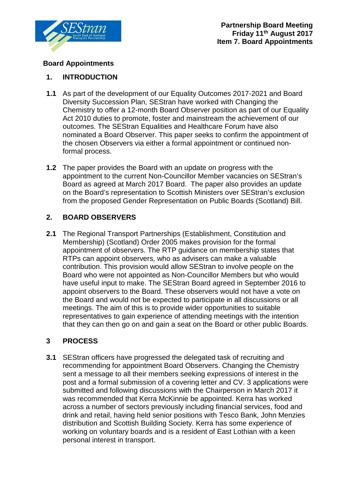

### **Board Appointments**

#### **1. INTRODUCTION**

- **1.1** As part of the development of our Equality Outcomes 2017-2021 and Board Diversity Succession Plan, SEStran have worked with Changing the Chemistry to offer a 12-month Board Observer position as part of our Equality Act 2010 duties to promote, foster and mainstream the achievement of our outcomes. The SEStran Equalities and Healthcare Forum have also nominated a Board Observer. This paper seeks to confirm the appointment of the chosen Observers via either a formal appointment or continued nonformal process.
- **1.2** The paper provides the Board with an update on progress with the appointment to the current Non-Councillor Member vacancies on SEStran's Board as agreed at March 2017 Board. The paper also provides an update on the Board's representation to Scottish Ministers over SEStran's exclusion from the proposed Gender Representation on Public Boards (Scotland) Bill.

### **2. BOARD OBSERVERS**

**2.1** The Regional Transport Partnerships (Establishment, Constitution and Membership) (Scotland) Order 2005 makes provision for the formal appointment of observers. The RTP guidance on membership states that RTPs can appoint observers, who as advisers can make a valuable contribution. This provision would allow SEStran to involve people on the Board who were not appointed as Non-Councillor Members but who would have useful input to make. The SEStran Board agreed in September 2016 to appoint observers to the Board. These observers would not have a vote on the Board and would not be expected to participate in all discussions or all meetings. The aim of this is to provide wider opportunities to suitable representatives to gain experience of attending meetings with the intention that they can then go on and gain a seat on the Board or other public Boards.

### **3 PROCESS**

**3.1** SEStran officers have progressed the delegated task of recruiting and recommending for appointment Board Observers. Changing the Chemistry sent a message to all their members seeking expressions of interest in the post and a formal submission of a covering letter and CV. 3 applications were submitted and following discussions with the Chairperson in March 2017 it was recommended that Kerra McKinnie be appointed. Kerra has worked across a number of sectors previously including financial services, food and drink and retail, having held senior positions with Tesco Bank, John Menzies distribution and Scottish Building Society. Kerra has some experience of working on voluntary boards and is a resident of East Lothian with a keen personal interest in transport.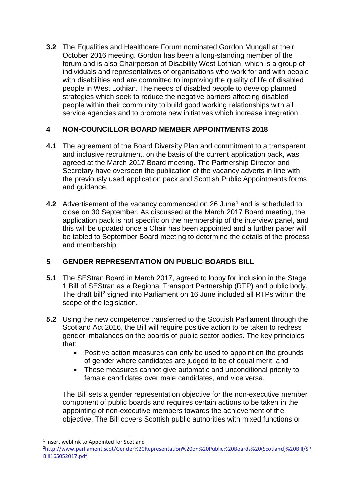**3.2** The Equalities and Healthcare Forum nominated Gordon Mungall at their October 2016 meeting. Gordon has been a long-standing member of the forum and is also Chairperson of Disability West Lothian, which is a group of individuals and representatives of organisations who work for and with people with disabilities and are committed to improving the quality of life of disabled people in West Lothian. The needs of disabled people to develop planned strategies which seek to reduce the negative barriers affecting disabled people within their community to build good working relationships with all service agencies and to promote new initiatives which increase integration.

## **4 NON-COUNCILLOR BOARD MEMBER APPOINTMENTS 2018**

- **4.1** The agreement of the Board Diversity Plan and commitment to a transparent and inclusive recruitment, on the basis of the current application pack, was agreed at the March 2017 Board meeting. The Partnership Director and Secretary have overseen the publication of the vacancy adverts in line with the previously used application pack and Scottish Public Appointments forms and guidance.
- **4.2** Advertisement of the vacancy commenced on 26 June<sup>[1](#page-1-0)</sup> and is scheduled to close on 30 September. As discussed at the March 2017 Board meeting, the application pack is not specific on the membership of the interview panel, and this will be updated once a Chair has been appointed and a further paper will be tabled to September Board meeting to determine the details of the process and membership.

# **5 GENDER REPRESENTATION ON PUBLIC BOARDS BILL**

- **5.1** The SEStran Board in March 2017, agreed to lobby for inclusion in the Stage 1 Bill of SEStran as a Regional Transport Partnership (RTP) and public body. The draft bill<sup>2</sup> signed into Parliament on 16 June included all RTPs within the scope of the legislation.
- **5.2** Using the new competence transferred to the Scottish Parliament through the Scotland Act 2016, the Bill will require positive action to be taken to redress gender imbalances on the boards of public sector bodies. The key principles that:
	- Positive action measures can only be used to appoint on the grounds of gender where candidates are judged to be of equal merit; and
	- These measures cannot give automatic and unconditional priority to female candidates over male candidates, and vice versa.

The Bill sets a gender representation objective for the non-executive member component of public boards and requires certain actions to be taken in the appointing of non-executive members towards the achievement of the objective. The Bill covers Scottish public authorities with mixed functions or

<span id="page-1-0"></span><sup>&</sup>lt;sup>1</sup> Insert weblink to Appointed for Scotland

<span id="page-1-1"></span><sup>2</sup> [http://www.parliament.scot/Gender%20Representation%20on%20Public%20Boards%20\(Scotland\)%20Bill/SP](http://www.parliament.scot/Gender%20Representation%20on%20Public%20Boards%20(Scotland)%20Bill/SPBill16S052017.pdf) [Bill16S052017.pdf](http://www.parliament.scot/Gender%20Representation%20on%20Public%20Boards%20(Scotland)%20Bill/SPBill16S052017.pdf)